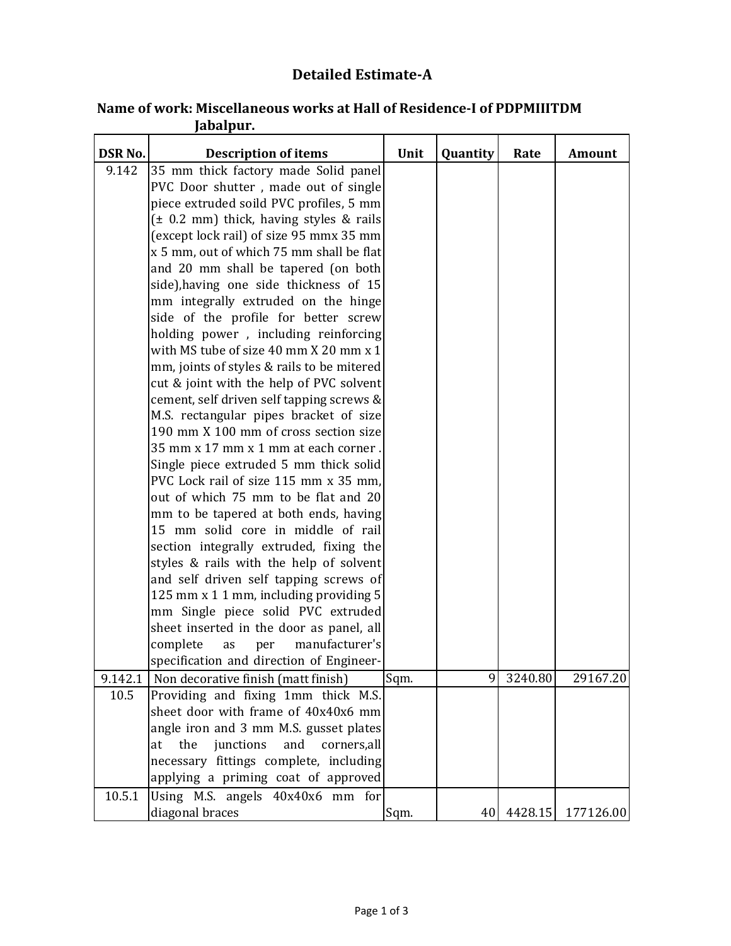## **Detailed Estimate-A**

| <b>DSR No.</b> | <b>Description of items</b>                  | Unit | Quantity | Rate       | <b>Amount</b> |
|----------------|----------------------------------------------|------|----------|------------|---------------|
| 9.142          | 35 mm thick factory made Solid panel         |      |          |            |               |
|                | PVC Door shutter, made out of single         |      |          |            |               |
|                | piece extruded soild PVC profiles, 5 mm      |      |          |            |               |
|                | $(\pm 0.2$ mm) thick, having styles & rails  |      |          |            |               |
|                | (except lock rail) of size 95 mmx 35 mm      |      |          |            |               |
|                | x 5 mm, out of which 75 mm shall be flat     |      |          |            |               |
|                | and 20 mm shall be tapered (on both          |      |          |            |               |
|                | side), having one side thickness of 15       |      |          |            |               |
|                | mm integrally extruded on the hinge          |      |          |            |               |
|                | side of the profile for better screw         |      |          |            |               |
|                | holding power, including reinforcing         |      |          |            |               |
|                | with MS tube of size 40 mm X 20 mm x 1       |      |          |            |               |
|                | mm, joints of styles & rails to be mitered   |      |          |            |               |
|                | cut & joint with the help of PVC solvent     |      |          |            |               |
|                | cement, self driven self tapping screws &    |      |          |            |               |
|                | M.S. rectangular pipes bracket of size       |      |          |            |               |
|                | 190 mm X 100 mm of cross section size        |      |          |            |               |
|                | 35 mm x 17 mm x 1 mm at each corner.         |      |          |            |               |
|                | Single piece extruded 5 mm thick solid       |      |          |            |               |
|                | PVC Lock rail of size 115 mm x 35 mm,        |      |          |            |               |
|                | out of which 75 mm to be flat and 20         |      |          |            |               |
|                | mm to be tapered at both ends, having        |      |          |            |               |
|                | 15 mm solid core in middle of rail           |      |          |            |               |
|                | section integrally extruded, fixing the      |      |          |            |               |
|                | styles & rails with the help of solvent      |      |          |            |               |
|                | and self driven self tapping screws of       |      |          |            |               |
|                | 125 mm x 1 1 mm, including providing 5       |      |          |            |               |
|                | mm Single piece solid PVC extruded           |      |          |            |               |
|                | sheet inserted in the door as panel, all     |      |          |            |               |
|                | complete<br>manufacturer's<br>as<br>per      |      |          |            |               |
|                | specification and direction of Engineer-     |      |          |            |               |
| 9.142.1        | Non decorative finish (matt finish)          | Sqm. | 9        | 3240.80    | 29167.20      |
| 10.5           | Providing and fixing 1mm thick M.S.          |      |          |            |               |
|                | sheet door with frame of 40x40x6 mm          |      |          |            |               |
|                | angle iron and 3 mm M.S. gusset plates       |      |          |            |               |
|                | junctions<br>and<br>the<br>corners,all<br>at |      |          |            |               |
|                | necessary fittings complete, including       |      |          |            |               |
|                | applying a priming coat of approved          |      |          |            |               |
| 10.5.1         | Using M.S. angels 40x40x6 mm for             |      |          |            |               |
|                | diagonal braces                              | Sqm. |          | 40 4428.15 | 177126.00     |

## **Jabalpur. Name of work: Miscellaneous works at Hall of Residence-I of PDPMIIITDM**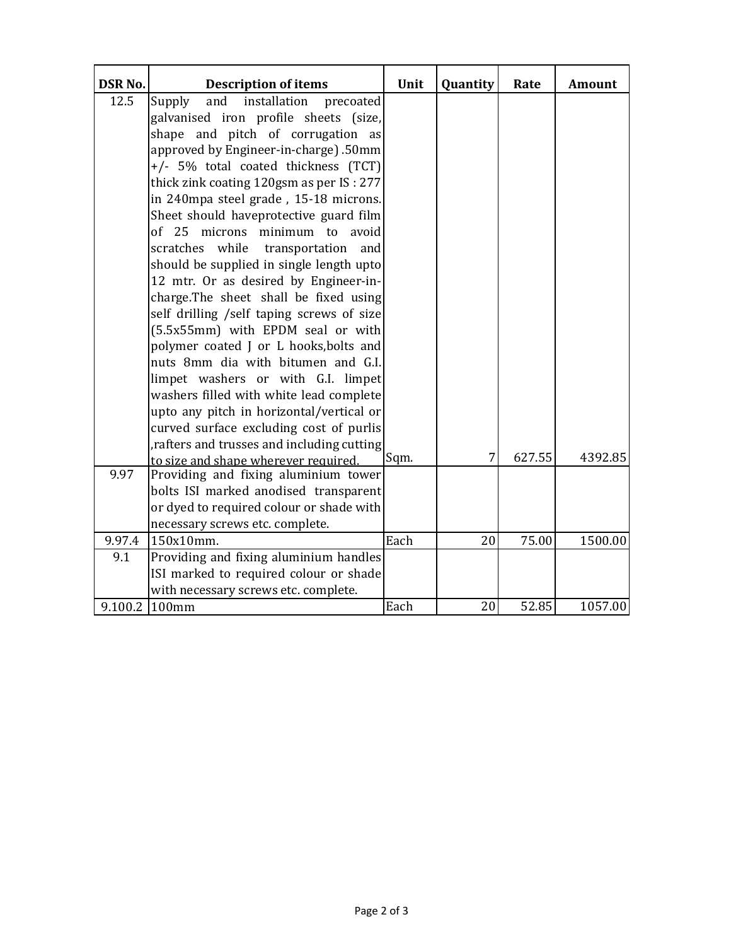| <b>DSR No.</b> | <b>Description of items</b>                | Unit | Quantity | Rate   | <b>Amount</b> |
|----------------|--------------------------------------------|------|----------|--------|---------------|
| 12.5           | Supply<br>installation<br>and<br>precoated |      |          |        |               |
|                | galvanised iron profile sheets (size,      |      |          |        |               |
|                | shape and pitch of corrugation as          |      |          |        |               |
|                | approved by Engineer-in-charge) .50mm      |      |          |        |               |
|                | +/- 5% total coated thickness (TCT)        |      |          |        |               |
|                | thick zink coating 120gsm as per IS: 277   |      |          |        |               |
|                | in 240mpa steel grade, 15-18 microns.      |      |          |        |               |
|                | Sheet should haveprotective guard film     |      |          |        |               |
|                | of 25 microns minimum to avoid             |      |          |        |               |
|                | scratches while<br>transportation and      |      |          |        |               |
|                | should be supplied in single length upto   |      |          |        |               |
|                | 12 mtr. Or as desired by Engineer-in-      |      |          |        |               |
|                | charge.The sheet shall be fixed using      |      |          |        |               |
|                | self drilling /self taping screws of size  |      |          |        |               |
|                | (5.5x55mm) with EPDM seal or with          |      |          |        |               |
|                | polymer coated J or L hooks, bolts and     |      |          |        |               |
|                | nuts 8mm dia with bitumen and G.I.         |      |          |        |               |
|                | limpet washers or with G.I. limpet         |      |          |        |               |
|                | washers filled with white lead complete    |      |          |        |               |
|                | upto any pitch in horizontal/vertical or   |      |          |        |               |
|                | curved surface excluding cost of purlis    |      |          |        |               |
|                | rafters and trusses and including cutting  |      |          |        |               |
|                | to size and shape wherever required.       | Sqm. | 7        | 627.55 | 4392.85       |
| 9.97           | Providing and fixing aluminium tower       |      |          |        |               |
|                | bolts ISI marked anodised transparent      |      |          |        |               |
|                | or dyed to required colour or shade with   |      |          |        |               |
|                | necessary screws etc. complete.            |      |          |        |               |
| 9.97.4         | 150x10mm.                                  | Each | 20       | 75.00  | 1500.00       |
| 9.1            | Providing and fixing aluminium handles     |      |          |        |               |
|                | ISI marked to required colour or shade     |      |          |        |               |
|                | with necessary screws etc. complete.       |      |          |        |               |
| 9.100.2 100mm  |                                            | Each | 20       | 52.85  | 1057.00       |